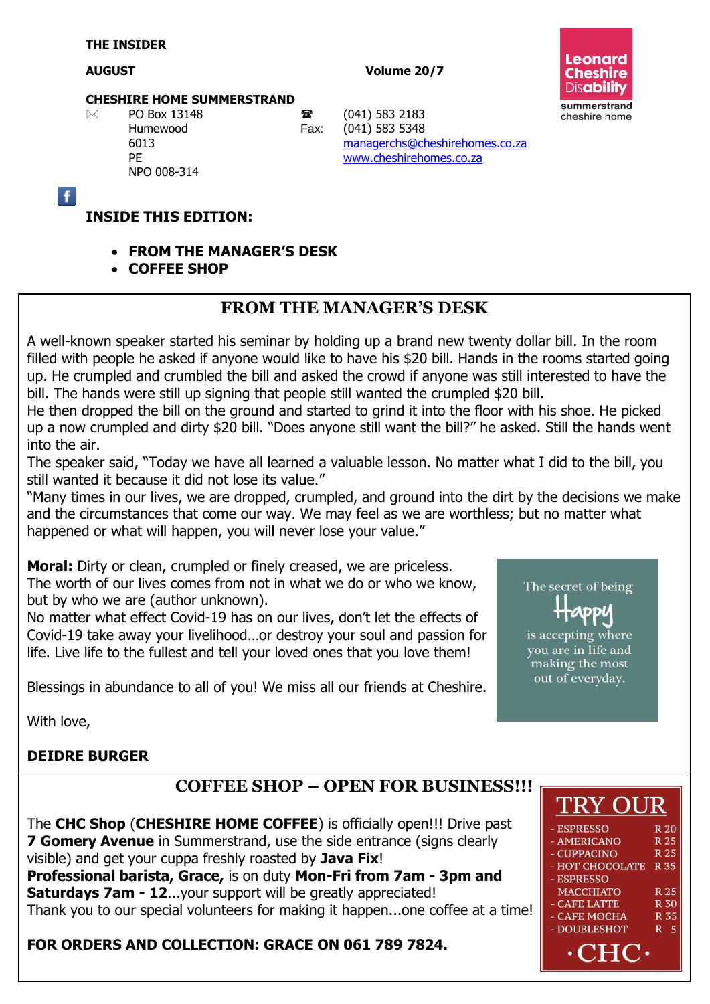#### **AUGUST Volume 20/7**



#### **CHESHIRE HOME SUMMERSTRAND**

NPO 008-314

 $\boxtimes$  PO Box 13148 **a** (041) 583 2183<br>Humewood Fax: (041) 583 5348 Humewood Fax: (041) 583 5348 6013 [managerchs@cheshirehomes.co.za](mailto:managerchs@cheshirehomes.co.za) PE [www.cheshirehomes.co.za](http://www.cheshirehomes.co.za/)

 $\overline{f}$ 

#### **INSIDE THIS EDITION:**

- **FROM THE MANAGER'S DESK**
- **COFFEE SHOP**

#### **FROM THE MANAGER'S DESK**

A well-known speaker started his seminar by holding up a brand new twenty dollar bill. In the room filled with people he asked if anyone would like to have his \$20 bill. Hands in the rooms started going up. He crumpled and crumbled the bill and asked the crowd if anyone was still interested to have the bill. The hands were still up signing that people still wanted the crumpled \$20 bill.

He then dropped the bill on the ground and started to grind it into the floor with his shoe. He picked up a now crumpled and dirty \$20 bill. "Does anyone still want the bill?" he asked. Still the hands went into the air.

The speaker said, "Today we have all learned a valuable lesson. No matter what I did to the bill, you still wanted it because it did not lose its value."

"Many times in our lives, we are dropped, crumpled, and ground into the dirt by the decisions we make and the circumstances that come our way. We may feel as we are worthless; but no matter what happened or what will happen, you will never lose your value."

**Moral:** Dirty or clean, crumpled or finely creased, we are priceless. The worth of our lives comes from not in what we do or who we know, but by who we are (author unknown).

No matter what effect Covid-19 has on our lives, don't let the effects of Covid-19 take away your livelihood…or destroy your soul and passion for life. Live life to the fullest and tell your loved ones that you love them!

Blessings in abundance to all of you! We miss all our friends at Cheshire.

# The secret of being **ADDU**

is accepting where you are in life and making the most out of everyday.

With love,

#### **DEIDRE BURGER**

#### **COFFEE SHOP – OPEN FOR BUSINESS!!!**

The **CHC Shop** (**CHESHIRE HOME COFFEE**) is officially open!!! Drive past **7 Gomery Avenue** in Summerstrand, use the side entrance (signs clearly visible) and get your cuppa freshly roasted by **Java Fix**! **Professional barista, Grace,** is on duty **Mon-Fri from 7am - 3pm and Saturdays 7am - 12**...your support will be greatly appreciated! Thank you to our special volunteers for making it happen...one coffee at a time!

#### **FOR ORDERS AND COLLECTION: GRACE ON 061 789 7824.**

# **TRY OUR**

| <b>ESPRESSO</b>      | <b>R</b> 20 |
|----------------------|-------------|
| <b>AMERICANO</b>     | R 25        |
| <b>CUPPACINO</b>     | R 25        |
| <b>HOT CHOCOLATE</b> | <b>R35</b>  |
| <b>ESPRESSO</b>      |             |
| <b>MACCHIATO</b>     | R 25        |
| <b>CAFE LATTE</b>    | <b>R</b> 30 |
| <b>CAFE MOCHA</b>    | <b>R</b> 35 |
| <b>DOUBLESHOT</b>    | 5<br>R      |
|                      |             |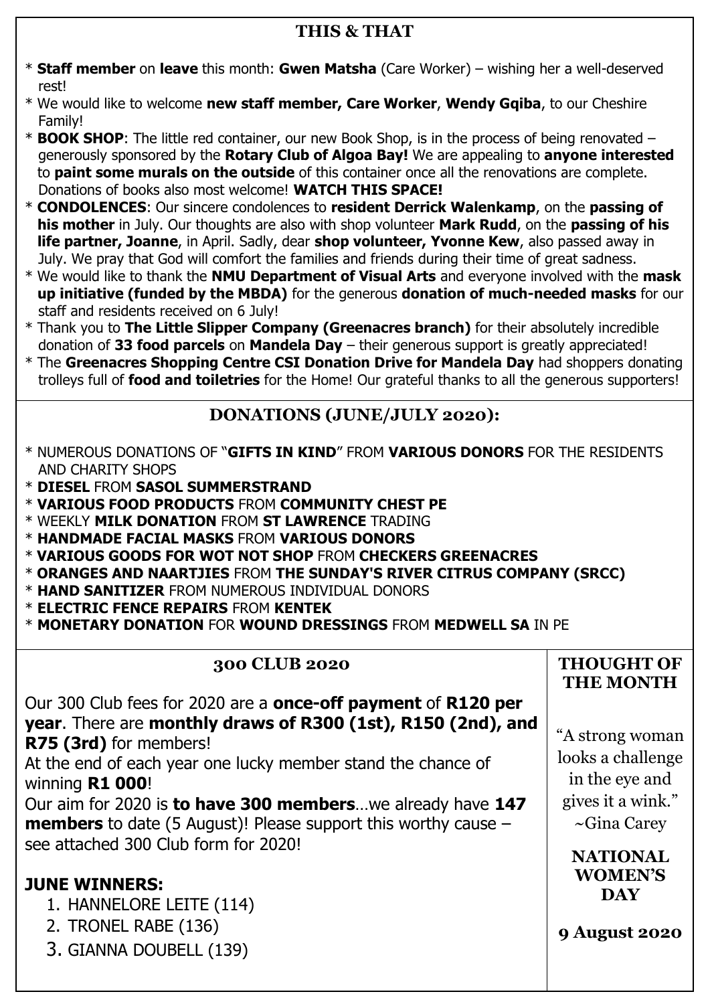### **THIS & THAT**

- \* **Staff member** on **leave** this month: **Gwen Matsha** (Care Worker) wishing her a well-deserved rest!
- \* We would like to welcome **new staff member, Care Worker**, **Wendy Gqiba**, to our Cheshire Family!
- \* **BOOK SHOP**: The little red container, our new Book Shop, is in the process of being renovated generously sponsored by the **Rotary Club of Algoa Bay!** We are appealing to **anyone interested** to **paint some murals on the outside** of this container once all the renovations are complete. Donations of books also most welcome! **WATCH THIS SPACE!**
- \* **CONDOLENCES**: Our sincere condolences to **resident Derrick Walenkamp**, on the **passing of his mother** in July. Our thoughts are also with shop volunteer **Mark Rudd**, on the **passing of his life partner, Joanne**, in April. Sadly, dear **shop volunteer, Yvonne Kew**, also passed away in July. We pray that God will comfort the families and friends during their time of great sadness.
- \* We would like to thank the **NMU Department of Visual Arts** and everyone involved with the **mask up initiative (funded by the MBDA)** for the generous **donation of much-needed masks** for our staff and residents received on 6 July!
- \* Thank you to **The Little Slipper Company (Greenacres branch)** for their absolutely incredible donation of **33 food parcels** on **Mandela Day** – their generous support is greatly appreciated!
- \* The **Greenacres Shopping Centre CSI Donation Drive for Mandela Day** had shoppers donating trolleys full of **food and toiletries** for the Home! Our grateful thanks to all the generous supporters!

### **DONATIONS (JUNE/JULY 2020):**

- \* NUMEROUS DONATIONS OF "**GIFTS IN KIND**" FROM **VARIOUS DONORS** FOR THE RESIDENTS AND CHARITY SHOPS
- \* **DIESEL** FROM **SASOL SUMMERSTRAND**
- \* **VARIOUS FOOD PRODUCTS** FROM **COMMUNITY CHEST PE**
- \* WEEKLY **MILK DONATION** FROM **ST LAWRENCE** TRADING
- \* **HANDMADE FACIAL MASKS** FROM **VARIOUS DONORS**
- \* **VARIOUS GOODS FOR WOT NOT SHOP** FROM **CHECKERS GREENACRES**
- \* **ORANGES AND NAARTJIES** FROM **THE SUNDAY'S RIVER CITRUS COMPANY (SRCC)**
- \* **HAND SANITIZER** FROM NUMEROUS INDIVIDUAL DONORS
- \* **ELECTRIC FENCE REPAIRS** FROM **KENTEK**
- \* **MONETARY DONATION** FOR **WOUND DRESSINGS** FROM **MEDWELL SA** IN PE

## **300 CLUB 2020**

|                                                                                                                                             | <b>THE MONTH</b>                       |
|---------------------------------------------------------------------------------------------------------------------------------------------|----------------------------------------|
| Our 300 Club fees for 2020 are a <b>once-off payment</b> of <b>R120 per</b><br>year. There are monthly draws of R300 (1st), R150 (2nd), and |                                        |
| R75 (3rd) for members!                                                                                                                      | "A strong woman                        |
| At the end of each year one lucky member stand the chance of<br>winning R1 000!                                                             | looks a challenge<br>in the eye and    |
| Our aim for 2020 is to have 300 memberswe already have 147<br><b>members</b> to date (5 August)! Please support this worthy cause $-$       | gives it a wink."<br>$\sim$ Gina Carey |
| see attached 300 Club form for 2020!                                                                                                        | <b>NATIONAL</b><br><b>WOMEN'S</b>      |
| <b>JUNE WINNERS:</b><br>1. HANNELORE LEITE (114)                                                                                            | <b>DAY</b>                             |
| 2. TRONEL RABE (136)<br>3. GIANNA DOUBELL (139)                                                                                             | <b>9 August 2020</b>                   |

**THOUGHT OF**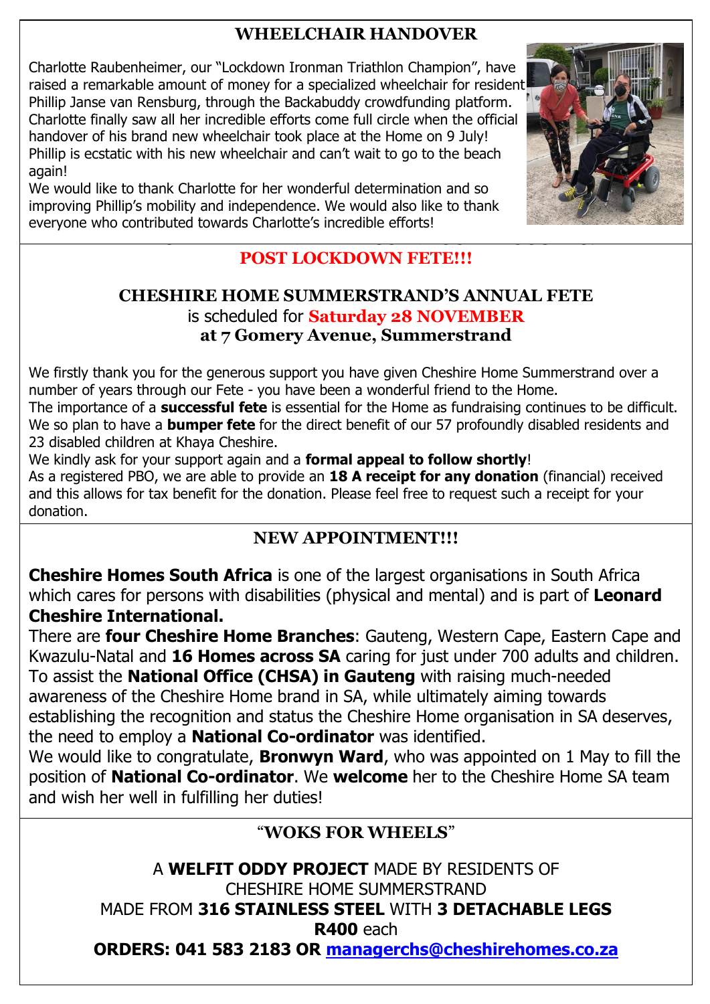### **WHEELCHAIR HANDOVER**

Charlotte Raubenheimer, our "Lockdown Ironman Triathlon Champion", have raised a remarkable amount of money for a specialized wheelchair for resident Phillip Janse van Rensburg, through the Backabuddy crowdfunding platform. Charlotte finally saw all her incredible efforts come full circle when the official handover of his brand new wheelchair took place at the Home on 9 July! Phillip is ecstatic with his new wheelchair and can't wait to go to the beach again!

**PLEASE DIARIZE AND KEEP US IN YOUR THOUGHTS!** We would like to thank Charlotte for her wonderful determination and so improving Phillip's mobility and independence. We would also like to thank everyone who contributed towards Charlotte's incredible efforts!



### **POST LOCKDOWN FETE!!!**

#### **CHESHIRE HOME SUMMERSTRAND'S ANNUAL FETE** is scheduled for **Saturday 28 NOVEMBER at 7 Gomery Avenue, Summerstrand**

We firstly thank you for the generous support you have given Cheshire Home Summerstrand over a number of years through our Fete - you have been a wonderful friend to the Home.

The importance of a **successful fete** is essential for the Home as fundraising continues to be difficult. We so plan to have a **bumper fete** for the direct benefit of our 57 profoundly disabled residents and 23 disabled children at Khaya Cheshire.

We kindly ask for your support again and a **formal appeal to follow shortly**! As a registered PBO, we are able to provide an **18 A receipt for any donation** (financial) received and this allows for tax benefit for the donation. Please feel free to request such a receipt for your donation.

#### **NEW APPOINTMENT!!!**

**Cheshire Homes South Africa** is one of the largest organisations in South Africa which cares for persons with disabilities (physical and mental) and is part of **Leonard Cheshire International.** 

There are **four Cheshire Home Branches**: Gauteng, Western Cape, Eastern Cape and Kwazulu-Natal and **16 Homes across SA** caring for just under 700 adults and children. To assist the **National Office (CHSA) in Gauteng** with raising much-needed awareness of the Cheshire Home brand in SA, while ultimately aiming towards establishing the recognition and status the Cheshire Home organisation in SA deserves, the need to employ a **National Co-ordinator** was identified.

We would like to congratulate, **Bronwyn Ward**, who was appointed on 1 May to fill the position of **National Co-ordinator**. We **welcome** her to the Cheshire Home SA team and wish her well in fulfilling her duties!

#### "**WOKS FOR WHEELS**"

A **WELFIT ODDY PROJECT** MADE BY RESIDENTS OF CHESHIRE HOME SUMMERSTRAND MADE FROM **316 STAINLESS STEEL** WITH **3 DETACHABLE LEGS R400** each **ORDERS: 041 583 2183 OR [managerchs@cheshirehomes.co.za](mailto:managerchs@cheshirehomes.co.za)**